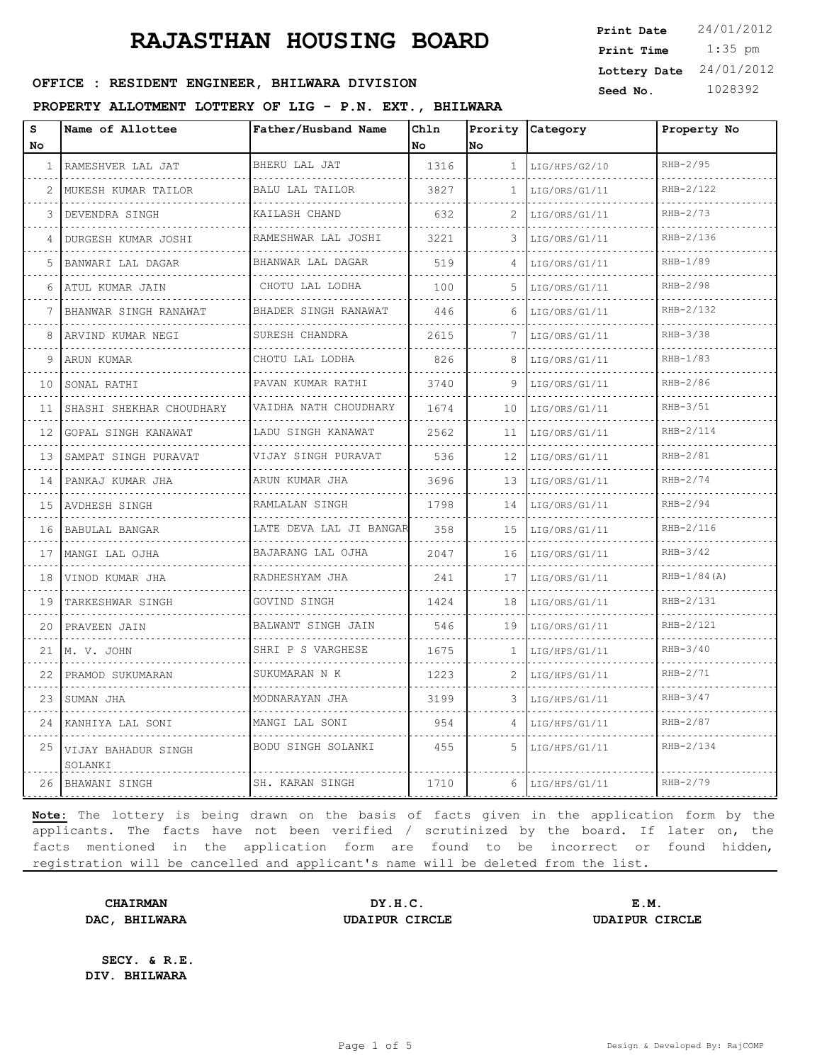#### PROPERTY ALLOTMENT LOTTERY OF LIG - P.N. EXT., B

| OFFICE : RESIDENT ENGINEER, BHILWARA DIVISION           |                  |                     |  |      | Seed No. |                  | Lottery Date $24/01/2012$<br>1028392 |             |
|---------------------------------------------------------|------------------|---------------------|--|------|----------|------------------|--------------------------------------|-------------|
| PROPERTY ALLOTMENT LOTTERY OF LIG - P.N. EXT., BHILWARA |                  |                     |  |      |          |                  |                                      |             |
| s                                                       | Name of Allottee | Father/Husband Name |  | Chln |          | Prority Category |                                      | Property No |

1:35 pm

**Print Date**  $24/01/2012$ 

**Print Time**

| s<br>No         | Name of Allottee               | Father/Husband Name        | Chln<br>No | lno          | Prority Category    | Property No    |
|-----------------|--------------------------------|----------------------------|------------|--------------|---------------------|----------------|
| $\mathbf{1}$    | RAMESHVER LAL JAT              | BHERU LAL JAT              | 1316       | $\mathbf{1}$ | LIG/HPS/G2/10<br>.  | RHB-2/95       |
| 2               | MUKESH KUMAR TAILOR            | BALU LAL TAILOR            | 3827       | $\mathbf{1}$ | LIG/ORS/G1/11       | RHB-2/122      |
| 3               | DEVENDRA SINGH                 | KAILASH CHAND              | 632        |              | LIG/ORS/G1/11       | $RHB-2/73$     |
| 4               | DURGESH KUMAR JOSHI            | RAMESHWAR LAL JOSHI        | 3221       | 3            | LIG/ORS/G1/11<br>.  | RHB-2/136      |
| 5               | BANWARI LAL DAGAR              | BHANWAR LAL DAGAR          | 519        |              | LIG/ORS/G1/11       | $RHB-1/89$     |
| 6               | ATUL KUMAR JAIN                | CHOTU LAL LODHA            | 100        | 5            | LIG/ORS/G1/11       | RHB-2/98       |
| 7               | BHANWAR SINGH RANAWAT          | BHADER SINGH RANAWAT       | 446        | 6            | LIG/ORS/G1/11       | RHB-2/132      |
| 8               | ARVIND KUMAR NEGI              | SURESH CHANDRA             | 2615       |              | LIG/ORS/G1/11       | $RHB-3/38$     |
| 9               | ARUN KUMAR                     | CHOTU LAL LODHA            | 826        | 8            | LIG/ORS/G1/11       | $RHB-1/83$     |
| 10              | SONAL RATHI                    | PAVAN KUMAR RATHI<br>.     | 3740       | 9            | LIG/ORS/G1/11<br>.  | RHB-2/86       |
| 11              | SHASHI SHEKHAR CHOUDHARY       | VAIDHA NATH CHOUDHARY<br>. | 1674       | 10           | LIG/ORS/G1/11       | $RHB-3/51$     |
| 12 <sup>1</sup> | GOPAL SINGH KANAWAT            | LADU SINGH KANAWAT<br>.    | 2562       | 11           | LIG/ORS/G1/11       | RHB-2/114      |
| 13              | SAMPAT SINGH PURAVAT           | VIJAY SINGH PURAVAT        | 536        | 12           | LIG/ORS/G1/11<br>.  | $RHB-2/81$     |
| 14              | PANKAJ KUMAR JHA               | ARUN KUMAR JHA             | 3696       | 13           | LIG/ORS/G1/11       | $RHB-2/74$     |
|                 | 15   AVDHESH SINGH<br>.        | RAMLALAN SINGH<br>.        | 1798       | 14           | LIG/ORS/G1/11       | RHB-2/94       |
| 16              | BABULAL BANGAR                 | LATE DEVA LAL JI BANGAR    | 358        | 15           | LIG/ORS/G1/11<br>.  | RHB-2/116      |
| 17              | MANGI LAL OJHA                 | BAJARANG LAL OJHA          | 2047       |              | $16$ LIG/ORS/G1/11  | $RHB-3/42$     |
| 18              | VINOD KUMAR JHA                | RADHESHYAM JHA<br>.        | 241        | 17           | LIG/ORS/G1/11       | $RHB-1/84 (A)$ |
| 19              | TARKESHWAR SINGH               | GOVIND SINGH               | 1424       | 18           | LIG/ORS/G1/11       | RHB-2/131      |
| 20              | PRAVEEN JAIN                   | BALWANT SINGH JAIN<br>.    | 546        |              | $19$ LIG/ORS/G1/11  | RHB-2/121      |
|                 | 21 M. V. JOHN<br>.             | SHRI P S VARGHESE          | 1675       | $\mathbf{1}$ | LIG/HPS/G1/11       | $RHB-3/40$     |
| 22              | PRAMOD SUKUMARAN               | SUKUMARAN N K              | 1223       |              | LIG/HPS/G1/11       | $RHB-2/71$     |
| 23              | SUMAN JHA                      | MODNARAYAN JHA<br>.        | 3199       | 3            | LIG/HPS/G1/11       | $RHB-3/47$     |
| 24              | KANHIYA LAL SONI               | MANGI LAL SONI             | 954        |              | LIG/HPS/G1/11       | $RHB-2/87$     |
| 25              | VIJAY BAHADUR SINGH<br>SOLANKI | BODU SINGH SOLANKI         | 455        | .5           | LIG/HPS/G1/11       | RHB-2/134      |
| 26              | BHAWANI SINGH                  | SH. KARAN SINGH            | 1710       |              | $6$   LIG/HPS/G1/11 | RHB-2/79       |

**Note:** The lottery is being drawn on the basis of facts given in the application form by the applicants. The facts have not been verified / scrutinized by the board. If later on, the facts mentioned in the application form are found to be incorrect or found hidden, registration will be cancelled and applicant's name will be deleted from the list.

**CHAIRMAN DY.H.C. E.M. DAC, BHILWARA UDAIPUR CIRCLE UDAIPUR CIRCLE**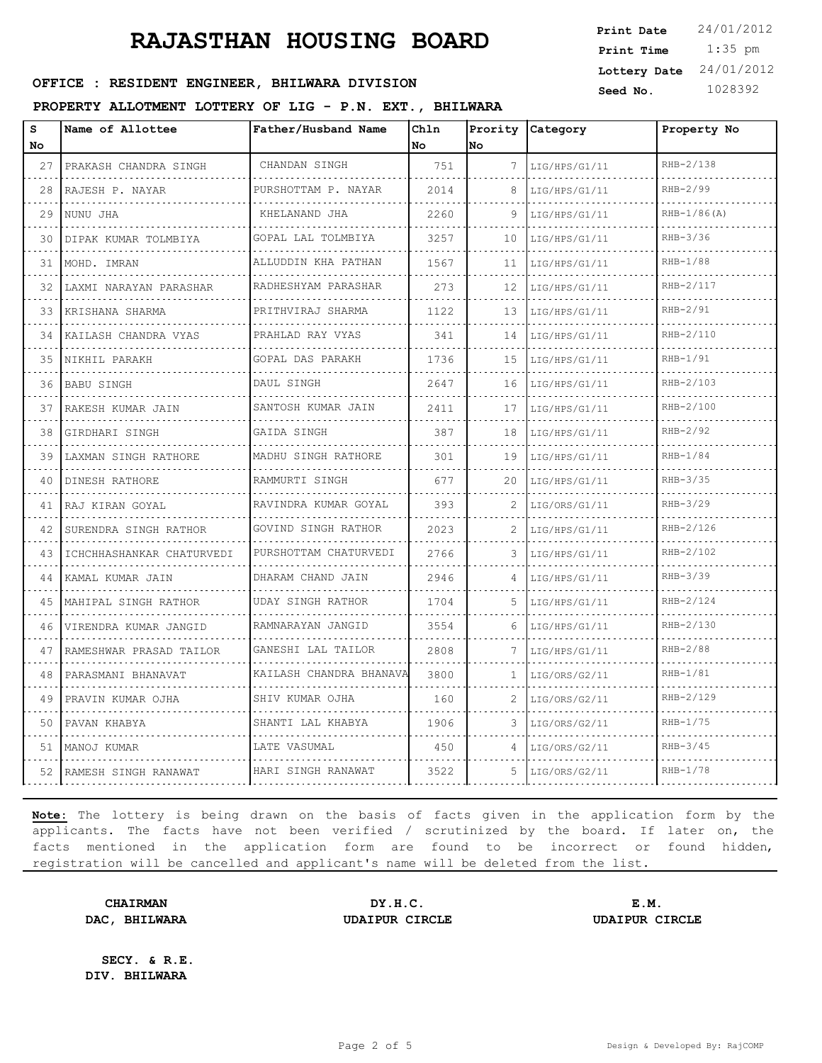### **OFFICE : RESIDENT ENGINEER, BHILWARA DIVISION** Seed No. 1028392

#### **PROPERTY ALLOTMENT LOTTERY OF LIG - P.N. EXT., BHILWARA**

 1:35 pm **Print Date**  $24/01/2012$ **Print Time Lottery Date** 24/01/2012

| S<br>No | Name of Allottee          | Father/Husband Name          | Chln<br>No | No           | Prority Category | Property No    |
|---------|---------------------------|------------------------------|------------|--------------|------------------|----------------|
| 27      | PRAKASH CHANDRA SINGH     | CHANDAN SINGH                | 751        | 7            | LIG/HPS/G1/11    | RHB-2/138      |
| 28      | RAJESH P. NAYAR           | PURSHOTTAM P. NAYAR          | 2014       | 8            | LIG/HPS/G1/11    | RHB-2/99       |
| 29      | NUNU JHA                  | KHELANAND JHA                | 2260       | 9            | LIG/HPS/G1/11    | $RHB-1/86 (A)$ |
| 30      | DIPAK KUMAR TOLMBIYA      | .<br>GOPAL LAL TOLMBIYA      | 3257       | 10           | LIG/HPS/G1/11    | $RHB-3/36$     |
| 31      | MOHD. IMRAN               | ALLUDDIN KHA PATHAN          | 1567       | 11           | LIG/HPS/G1/11    | RHB-1/88       |
| 32      | LAXMI NARAYAN PARASHAR    | RADHESHYAM PARASHAR          | 273        | 12           | LIG/HPS/G1/11    | RHB-2/117      |
| 33      | KRISHANA SHARMA           | .<br>PRITHVIRAJ SHARMA       | 1122       | 13           | LIG/HPS/G1/11    | $RHB-2/91$     |
| 34      | KAILASH CHANDRA VYAS      | PRAHLAD RAY VYAS             | 341        | 14           | LIG/HPS/G1/11    | RHB-2/110      |
| 35      | NIKHIL PARAKH             | GOPAL DAS PARAKH             | 1736       | 15           | LIG/HPS/G1/11    | $RHB-1/91$     |
| 36      | <b>BABU SINGH</b>         | DAUL SINGH                   | 2647       | 16           | LIG/HPS/G1/11    | RHB-2/103      |
| 37      | RAKESH KUMAR JAIN         | SANTOSH KUMAR JAIN           | 2411       | 17           | LIG/HPS/G1/11    | RHB-2/100      |
| 38      | GIRDHARI SINGH            | GAIDA SINGH                  | 387        | 18           | LIG/HPS/G1/11    | RHB-2/92       |
| 39      | LAXMAN SINGH RATHORE      | MADHU SINGH RATHORE          | 301        | 19           | LIG/HPS/G1/11    | $RHB-1/84$     |
| 40      | DINESH RATHORE            | RAMMURTI SINGH               | 677        | 20           | LIG/HPS/G1/11    | $RHB-3/35$     |
| 41      | RAJ KIRAN GOYAL           | RAVINDRA KUMAR GOYAL<br>.    | 393        |              | LIG/ORS/G1/11    | $RHB-3/29$     |
| 42      | SURENDRA SINGH RATHOR     | GOVIND SINGH RATHOR          | 2023       | 2            | LIG/HPS/G1/11    | RHB-2/126      |
| 43      | ICHCHHASHANKAR CHATURVEDI | PURSHOTTAM CHATURVEDI        | 2766       | 3            | LIG/HPS/G1/11    | RHB-2/102      |
| 44      | KAMAL KUMAR JAIN          | DHARAM CHAND JAIN            | 2946       |              | LIG/HPS/G1/11    | RHB-3/39       |
| 45      | MAHIPAL SINGH RATHOR<br>. | UDAY SINGH RATHOR            | 1704       | 5.           | LIG/HPS/G1/11    | RHB-2/124      |
| 46      | VIRENDRA KUMAR JANGID     | RAMNARAYAN JANGID            | 3554       | 6            | LIG/HPS/G1/11    | RHB-2/130      |
| 47      | RAMESHWAR PRASAD TAILOR   | GANESHI LAL TAILOR           | 2808       | 7            | LIG/HPS/G1/11    | RHB-2/88       |
| 48      | PARASMANI BHANAVAT<br>.   | KAILASH CHANDRA BHANAVA<br>. | 3800       | $\mathbf{1}$ | LIG/ORS/G2/11    | $RHB-1/81$     |
| 49      | PRAVIN KUMAR OJHA         | SHIV KUMAR OJHA              | 160        | 2            | LIG/ORS/G2/11    | RHB-2/129      |
| 50      | PAVAN KHABYA              | SHANTI LAL KHABYA            | 1906       | 3            | LIG/ORS/G2/11    | $RHB-1/75$     |
| 51      | MANOJ KUMAR               | LATE VASUMAL                 | 450        | 4            | LIG/ORS/G2/11    | $RHB-3/45$     |
| 52      | RAMESH SINGH RANAWAT      | HARI SINGH RANAWAT           | 3522       | 5.           | LIG/ORS/G2/11    | RHB-1/78       |
|         |                           |                              |            |              |                  |                |

**Note:** The lottery is being drawn on the basis of facts given in the application form by the applicants. The facts have not been verified / scrutinized by the board. If later on, the facts mentioned in the application form are found to be incorrect or found hidden, registration will be cancelled and applicant's name will be deleted from the list.

**CHAIRMAN DY.H.C. E.M. DAC, BHILWARA UDAIPUR CIRCLE UDAIPUR CIRCLE**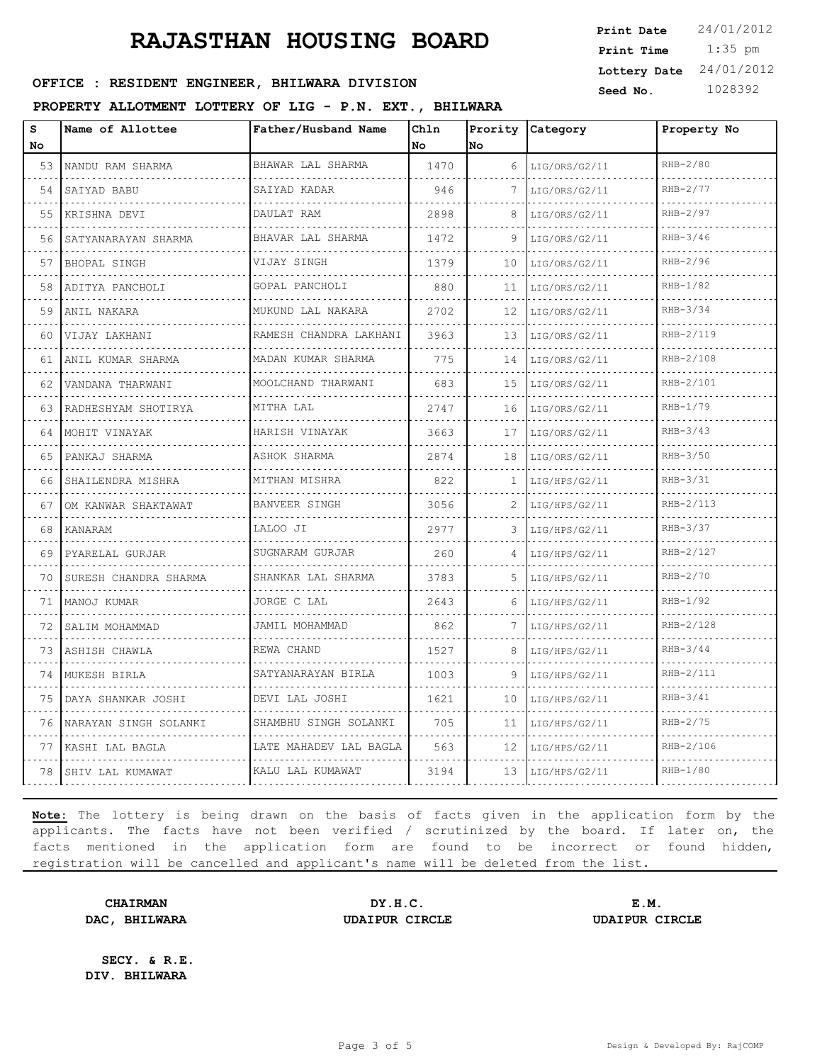### **Seed No. 1028392 OFFICE : RESIDENT ENGINEER, BHILWARA DIVISION**

#### **PROPERTY ALLOTMENT LOTTERY OF LIG - P.N. EXT., BHILWARA**

| Print Time                | $1:35$ pm |
|---------------------------|-----------|
| Lottery Date $24/01/2012$ |           |
| Seed No.                  | 1028392   |

**Print Date**  $24/01/2012$ 

| s<br>No | Name of Allottee      | Father/Husband Name       | Chln<br>l No | Prority<br>No. | Category           | Property No |
|---------|-----------------------|---------------------------|--------------|----------------|--------------------|-------------|
| 53      | NANDU RAM SHARMA      | BHAWAR LAL SHARMA         | 1470         | 6              | LIG/ORS/G2/11      | RHB-2/80    |
| 54      | SAIYAD BABU           | .<br>SAIYAD KADAR         | 946          |                | .<br>LIG/ORS/G2/11 | RHB-2/77    |
| 55      | KRISHNA DEVI          | DAULAT RAM                | 2898         | 8              | LIG/ORS/G2/11      | RHB-2/97    |
| 56      | SATYANARAYAN SHARMA   | BHAVAR LAL SHARMA         | 1472         | 9              | LIG/ORS/G2/11      | $RHB-3/46$  |
| 57      | BHOPAL SINGH          | VIJAY SINGH               | 1379         | 10             | LIG/ORS/G2/11      | RHB-2/96    |
| 58      | ADITYA PANCHOLI       | GOPAL PANCHOLI            | 880          | 11             | LIG/ORS/G2/11      | $RHB-1/82$  |
| 59      | ANIL NAKARA           | .<br>MUKUND LAL NAKARA    | 2702         | 12             | LIG/ORS/G2/11      | $RHB-3/34$  |
| 60      | VIJAY LAKHANI         | RAMESH CHANDRA LAKHANI    | 3963         | 13             | LIG/ORS/G2/11      | RHB-2/119   |
| 61      | ANIL KUMAR SHARMA     | MADAN KUMAR SHARMA        | 775          | 14             | LIG/ORS/G2/11      | RHB-2/108   |
| 62      | VANDANA THARWANI      | .<br>MOOLCHAND THARWANI   | 683          | 15             | LIG/ORS/G2/11      | RHB-2/101   |
| 63      | RADHESHYAM SHOTIRYA   | MITHA LAL                 | 2747         | 16             | LIG/ORS/G2/11      | $RHB-1/79$  |
| 64      | MOHIT VINAYAK<br>.    | HARISH VINAYAK<br>.       | 3663         | 17             | LIG/ORS/G2/11      | $RHB-3/43$  |
| 65      | PANKAJ SHARMA         | ASHOK SHARMA              | 2874         | 18             | LIG/ORS/G2/11      | $RHB-3/50$  |
| 66      | SHAILENDRA MISHRA     | MITHAN MISHRA<br><u>.</u> | 822          | 1              | LIG/HPS/G2/11      | RHB-3/31    |
| 67      | OM KANWAR SHAKTAWAT   | <b>BANVEER SINGH</b>      | 3056         |                | LIG/HPS/G2/11      | RHB-2/113   |
| 68      | KANARAM               | LALOO JI                  | 2977         | 3              | LIG/HPS/G2/11      | $RHB-3/37$  |
| 69      | PYARELAL GURJAR       | SUGNARAM GURJAR           | 260          | 4              | LIG/HPS/G2/11      | RHB-2/127   |
| 70      | SURESH CHANDRA SHARMA | SHANKAR LAL SHARMA        | 3783         | 5.             | LIG/HPS/G2/11      | $RHB-2/70$  |
| 71      | MANOJ KUMAR           | JORGE C LAL               | 2643         | 6              | LIG/HPS/G2/11      | $RHB-1/92$  |
| 72      | SALIM MOHAMMAD        | JAMIL MOHAMMAD            | 862          | 7              | LIG/HPS/G2/11      | RHB-2/128   |
| 73      | ASHISH CHAWLA         | REWA CHAND                | 1527         | 8              | LIG/HPS/G2/11      | $RHB-3/44$  |
| 74      | MUKESH BIRLA          | SATYANARAYAN BIRLA<br>.   | 1003         | 9              | LIG/HPS/G2/11      | RHB-2/111   |
| 75      | DAYA SHANKAR JOSHI    | DEVI LAL JOSHI            | 1621         | 10             | LIG/HPS/G2/11      | $RHB-3/41$  |
| 76      | NARAYAN SINGH SOLANKI | SHAMBHU SINGH SOLANKI     | 705          | 11             | LIG/HPS/G2/11      | $RHB-2/75$  |
| 77      | KASHI LAL BAGLA       | LATE MAHADEV LAL BAGLA    | 563          | 12             | LIG/HPS/G2/11      | RHB-2/106   |
| 78      | SHIV LAL KUMAWAT      | KALU LAL KUMAWAT          | 3194         | 13             | LIG/HPS/G2/11      | $RHB-1/80$  |
|         |                       |                           |              |                |                    |             |

**Note:** The lottery is being drawn on the basis of facts given in the application form by the applicants. The facts have not been verified / scrutinized by the board. If later on, the facts mentioned in the application form are found to be incorrect or found hidden, registration will be cancelled and applicant's name will be deleted from the list.

**CHAIRMAN DY.H.C. E.M. DAC, BHILWARA UDAIPUR CIRCLE UDAIPUR CIRCLE**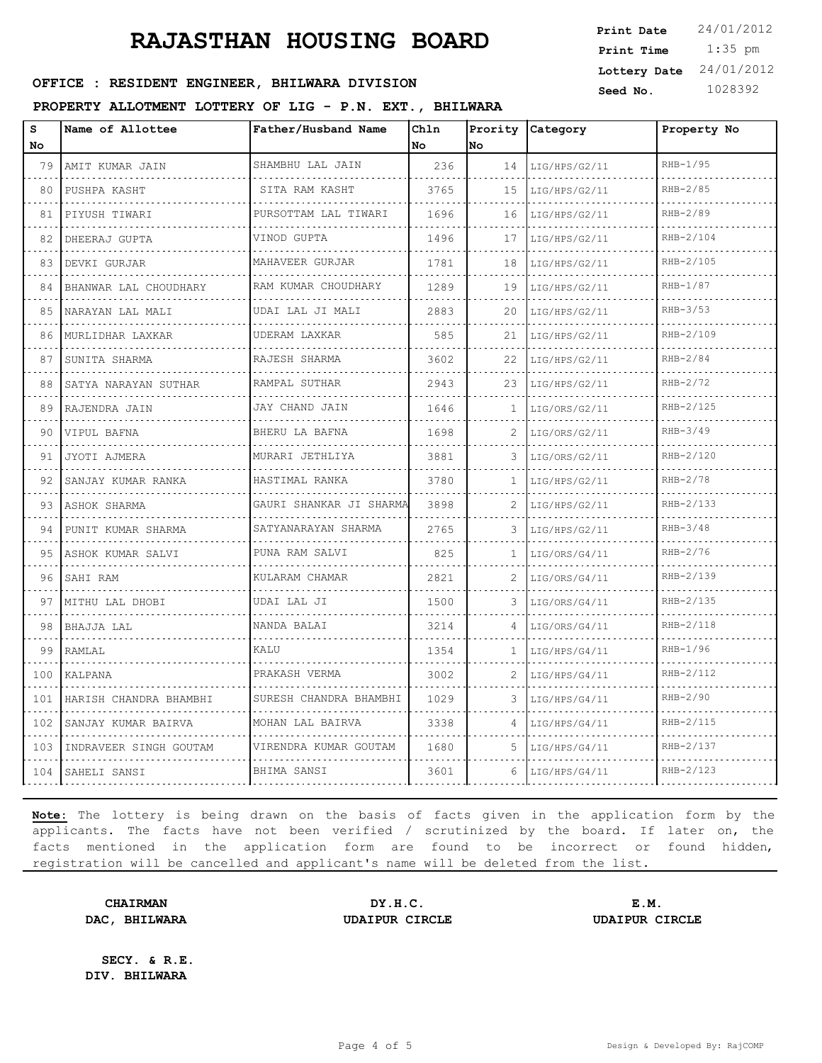### **OFFICE : RESIDENT ENGINEER, BHILWARA DIVISION** Seed No. 1028392

#### **PROPERTY ALLOTMENT LOTTERY OF LIG - P.N. EXT., BHILWARA**

 1:35 pm **Print Date**  $24/01/2012$ **Print Time Lottery Date** 24/01/2012

| s<br>No | Name of Allottee       | Father/Husband Name                    | Ch1n<br>l No | No | Prority Category | Property No |
|---------|------------------------|----------------------------------------|--------------|----|------------------|-------------|
| 79      | AMIT KUMAR JAIN        | SHAMBHU LAL JAIN                       | 236          | 14 | LIG/HPS/G2/11    | RHB-1/95    |
| 80      | PUSHPA KASHT           | SITA RAM KASHT                         | 3765         | 15 | LIG/HPS/G2/11    | $RHB-2/85$  |
| 81      | PIYUSH TIWARI          | PURSOTTAM LAL TIWARI                   | 1696         | 16 | LIG/HPS/G2/11    | $RHB-2/89$  |
| 82      | DHEERAJ GUPTA          | .<br>VINOD GUPTA                       | 1496         | 17 | LIG/HPS/G2/11    | RHB-2/104   |
| 83      | DEVKI GURJAR           | MAHAVEER GURJAR                        | 1781         | 18 | LIG/HPS/G2/11    | RHB-2/105   |
| 84      | BHANWAR LAL CHOUDHARY  | RAM KUMAR CHOUDHARY                    | 1289         | 19 | LIG/HPS/G2/11    | $RHB-1/87$  |
| 85      | NARAYAN LAL MALI       | <u>.</u><br>UDAI LAL JI MALI           | 2883         | 20 | LIG/HPS/G2/11    | RHB-3/53    |
| 86      | MURLIDHAR LAXKAR       | UDERAM LAXKAR                          | 585          | 21 | LIG/HPS/G2/11    | RHB-2/109   |
| 87      | SUNITA SHARMA          | RAJESH SHARMA                          | 3602         | 22 | LIG/HPS/G2/11    | $RHB-2/84$  |
| 88      | SATYA NARAYAN SUTHAR   | .<br>RAMPAL SUTHAR                     | 2943         | 23 | LIG/HPS/G2/11    | $RHB-2/72$  |
| 89      | RAJENDRA JAIN          | JAY CHAND JAIN                         | 1646         | 1  | LIG/ORS/G2/11    | RHB-2/125   |
| 90      | VIPUL BAFNA            | BHERU LA BAFNA                         | 1698         |    | LIG/ORS/G2/11    | $RHB-3/49$  |
| 91      | JYOTI AJMERA           | a dia dia dia dia 4<br>MURARI JETHLIYA | 3881         | 3  | LIG/ORS/G2/11    | RHB-2/120   |
| 92      | SANJAY KUMAR RANKA     | HASTIMAL RANKA                         | 3780         | 1  | LIG/HPS/G2/11    | RHB-2/78    |
| 93      | ASHOK SHARMA           | GAURI SHANKAR JI SHARMA                | 3898         |    | LIG/HPS/G2/11    | RHB-2/133   |
| 94      | PUNIT KUMAR SHARMA     | SATYANARAYAN SHARMA                    | 2765         | 3  | LIG/HPS/G2/11    | $RHB-3/48$  |
| 95      | ASHOK KUMAR SALVI      | PUNA RAM SALVI                         | 825          | 1. | LIG/ORS/G4/11    | RHB-2/76    |
| 96      | SAHI RAM               | KULARAM CHAMAR                         | 2821         |    | LIG/ORS/G4/11    | RHB-2/139   |
| 97      | MITHU LAL DHOBI        | UDAI LAL JI                            | 1500         | 3  | LIG/ORS/G4/11    | RHB-2/135   |
| 98      | BHAJJA LAL             | NANDA BALAI                            | 3214         | 4  | LIG/ORS/G4/11    | RHB-2/118   |
| 99      | RAMLAL                 | KALU                                   | 1354         | 1. | LIG/HPS/G4/11    | $RHB-1/96$  |
| 100     | KALPANA                | PRAKASH VERMA                          | 3002         | 2  | LIG/HPS/G4/11    | RHB-2/112   |
| 101     | HARISH CHANDRA BHAMBHI | SURESH CHANDRA BHAMBHI                 | 1029         | 3. | LIG/HPS/G4/11    | RHB-2/90    |
| 102     | SANJAY KUMAR BAIRVA    | MOHAN LAL BAIRVA                       | 3338         | 4  | LIG/HPS/G4/11    | RHB-2/115   |
| 103     | INDRAVEER SINGH GOUTAM | VIRENDRA KUMAR GOUTAM                  | 1680         | 5  | LIG/HPS/G4/11    | RHB-2/137   |
| 104     | SAHELI SANSI           | BHIMA SANSI                            | 3601         | 6  | LIG/HPS/G4/11    | RHB-2/123   |

**Note:** The lottery is being drawn on the basis of facts given in the application form by the applicants. The facts have not been verified / scrutinized by the board. If later on, the facts mentioned in the application form are found to be incorrect or found hidden, registration will be cancelled and applicant's name will be deleted from the list.

**CHAIRMAN DY.H.C. E.M. DAC, BHILWARA UDAIPUR CIRCLE UDAIPUR CIRCLE**